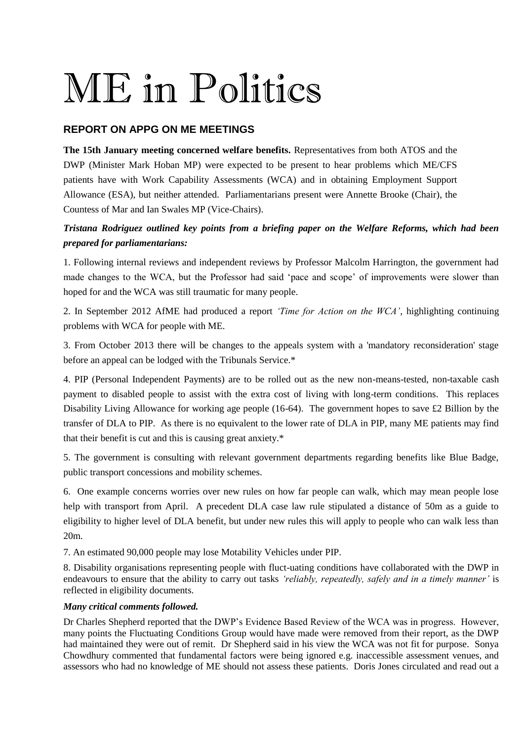## ME in Politics

## **REPORT ON APPG ON ME MEETINGS**

**The 15th January meeting concerned welfare benefits.** Representatives from both ATOS and the DWP (Minister Mark Hoban MP) were expected to be present to hear problems which ME/CFS patients have with Work Capability Assessments (WCA) and in obtaining Employment Support Allowance (ESA), but neither attended. Parliamentarians present were Annette Brooke (Chair), the Countess of Mar and Ian Swales MP (Vice-Chairs).

## *Tristana Rodriguez outlined key points from a briefing paper on the Welfare Reforms, which had been prepared for parliamentarians:*

1. Following internal reviews and independent reviews by Professor Malcolm Harrington, the government had made changes to the WCA, but the Professor had said 'pace and scope' of improvements were slower than hoped for and the WCA was still traumatic for many people.

2. In September 2012 AfME had produced a report *'Time for Action on the WCA'*, highlighting continuing problems with WCA for people with ME.

3. From October 2013 there will be changes to the appeals system with a 'mandatory reconsideration' stage before an appeal can be lodged with the Tribunals Service.\*

4. PIP (Personal Independent Payments) are to be rolled out as the new non-means-tested, non-taxable cash payment to disabled people to assist with the extra cost of living with long-term conditions. This replaces Disability Living Allowance for working age people (16-64). The government hopes to save £2 Billion by the transfer of DLA to PIP. As there is no equivalent to the lower rate of DLA in PIP, many ME patients may find that their benefit is cut and this is causing great anxiety.\*

5. The government is consulting with relevant government departments regarding benefits like Blue Badge, public transport concessions and mobility schemes.

6. One example concerns worries over new rules on how far people can walk, which may mean people lose help with transport from April. A precedent DLA case law rule stipulated a distance of 50m as a guide to eligibility to higher level of DLA benefit, but under new rules this will apply to people who can walk less than 20m.

7. An estimated 90,000 people may lose Motability Vehicles under PIP.

8. Disability organisations representing people with fluct-uating conditions have collaborated with the DWP in endeavours to ensure that the ability to carry out tasks *'reliably, repeatedly, safely and in a timely manner'* is reflected in eligibility documents.

## *Many critical comments followed.*

Dr Charles Shepherd reported that the DWP's Evidence Based Review of the WCA was in progress. However, many points the Fluctuating Conditions Group would have made were removed from their report, as the DWP had maintained they were out of remit. Dr Shepherd said in his view the WCA was not fit for purpose. Sonya Chowdhury commented that fundamental factors were being ignored e.g. inaccessible assessment venues, and assessors who had no knowledge of ME should not assess these patients. Doris Jones circulated and read out a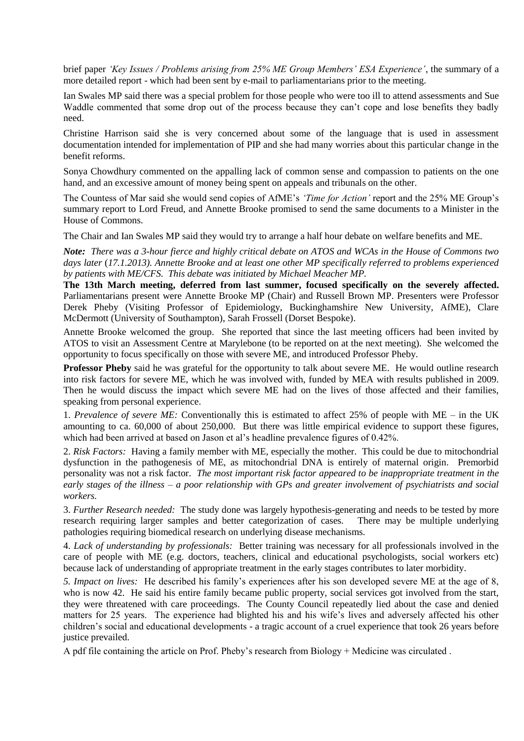brief paper *'Key Issues / Problems arising from 25% ME Group Members' ESA Experience'*, the summary of a more detailed report - which had been sent by e-mail to parliamentarians prior to the meeting.

Ian Swales MP said there was a special problem for those people who were too ill to attend assessments and Sue Waddle commented that some drop out of the process because they can't cope and lose benefits they badly need.

Christine Harrison said she is very concerned about some of the language that is used in assessment documentation intended for implementation of PIP and she had many worries about this particular change in the benefit reforms.

Sonya Chowdhury commented on the appalling lack of common sense and compassion to patients on the one hand, and an excessive amount of money being spent on appeals and tribunals on the other.

The Countess of Mar said she would send copies of AfME's *'Time for Action'* report and the 25% ME Group's summary report to Lord Freud, and Annette Brooke promised to send the same documents to a Minister in the House of Commons.

The Chair and Ian Swales MP said they would try to arrange a half hour debate on welfare benefits and ME.

*Note: There was a 3-hour fierce and highly critical debate on ATOS and WCAs in the House of Commons two days later* (*17.1.2013). Annette Brooke and at least one other MP specifically referred to problems experienced by patients with ME/CFS. This debate was initiated by Michael Meacher MP.* 

**The 13th March meeting, deferred from last summer, focused specifically on the severely affected.**  Parliamentarians present were Annette Brooke MP (Chair) and Russell Brown MP. Presenters were Professor Derek Pheby (Visiting Professor of Epidemiology, Buckinghamshire New University, AfME), Clare McDermott (University of Southampton), Sarah Frossell (Dorset Bespoke).

Annette Brooke welcomed the group. She reported that since the last meeting officers had been invited by ATOS to visit an Assessment Centre at Marylebone (to be reported on at the next meeting). She welcomed the opportunity to focus specifically on those with severe ME, and introduced Professor Pheby.

**Professor Pheby** said he was grateful for the opportunity to talk about severe ME. He would outline research into risk factors for severe ME, which he was involved with, funded by MEA with results published in 2009. Then he would discuss the impact which severe ME had on the lives of those affected and their families, speaking from personal experience.

1. *Prevalence of severe ME:* Conventionally this is estimated to affect 25% of people with ME – in the UK amounting to ca. 60,000 of about 250,000. But there was little empirical evidence to support these figures, which had been arrived at based on Jason et al's headline prevalence figures of 0.42%.

2. *Risk Factors:* Having a family member with ME, especially the mother. This could be due to mitochondrial dysfunction in the pathogenesis of ME, as mitochondrial DNA is entirely of maternal origin. Premorbid personality was not a risk factor. *The most important risk factor appeared to be inappropriate treatment in the early stages of the illness – a poor relationship with GPs and greater involvement of psychiatrists and social workers.* 

3. *Further Research needed:* The study done was largely hypothesis-generating and needs to be tested by more research requiring larger samples and better categorization of cases. There may be multiple underlying pathologies requiring biomedical research on underlying disease mechanisms.

4. *Lack of understanding by professionals:* Better training was necessary for all professionals involved in the care of people with ME (e.g. doctors, teachers, clinical and educational psychologists, social workers etc) because lack of understanding of appropriate treatment in the early stages contributes to later morbidity.

*5. Impact on lives:* He described his family's experiences after his son developed severe ME at the age of 8, who is now 42. He said his entire family became public property, social services got involved from the start, they were threatened with care proceedings. The County Council repeatedly lied about the case and denied matters for 25 years. The experience had blighted his and his wife's lives and adversely affected his other children's social and educational developments - a tragic account of a cruel experience that took 26 years before justice prevailed.

A pdf file containing the article on Prof. Pheby's research from Biology + Medicine was circulated .